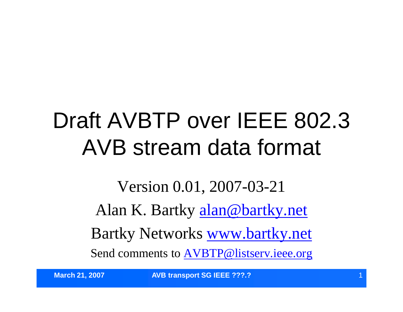#### Draft AVBTP over IEEE 802.3 AVB stream data format

Version 0.01, 2007-03-21 Alan K. Bartky alan@bartky.net Bartky Networks www.bartky.net Send comments to AVBTP@listserv.ieee.org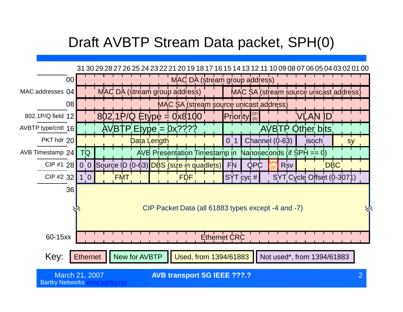#### Draft AVBTP Stream Data packet, SPH(0)

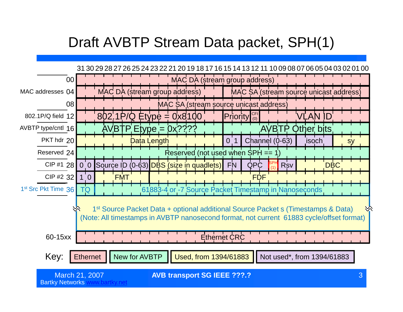#### Draft AVBTP Stream Data packet, SPH(1)

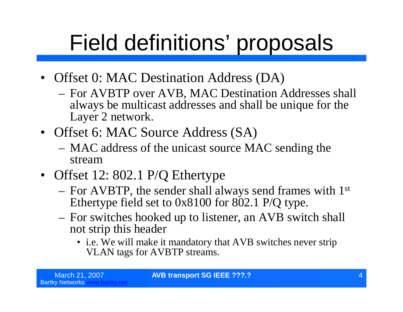- Offset 0: MAC Destination Address (DA)
	- For AVBTP over AVB, MAC Destination Addresses shall always be multicast addresses and shall be unique for the Layer 2 network.
- Offset 6: MAC Source Address (SA)
	- MAC address of the unicast source MAC sending the stream
- Offset 12: 802.1 P/Q Ethertype
	- For AVBTP, the sender shall always send frames with 1st Ethertype field set to 0x8100 for 802.1 P/Q type.
	- For switches hooked up to listener, an AVB switch shall not strip this header
		- i.e. We will make it mandatory that AVB switches never strip VLAN tags for AVBTP streams.

**March 21, 2007 AVB transport SG IEEE ???.?**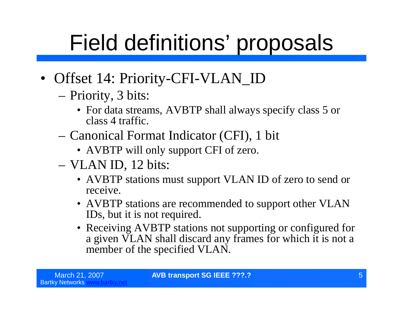- Offset 14: Priority-CFI-VLAN\_ID
	- –Priority, 3 bits:
		- For data streams, AVBTP shall always specify class 5 or class 4 traffic.
	- –Canonical Format Indicator (CFI), 1 bit
		- AVBTP will only support CFI of zero.
	- –VLAN ID, 12 bits:
		- AVBTP stations must support VLAN ID of zero to send or receive.
		- AVBTP stations are recommended to support other VLAN IDs, but it is not required.
		- Receiving AVBTP stations not supporting or configured for a given VLAN shall discard any frames for which it is not a member of the specified VLAN.

March 21, 2007 **AVB transport SG IEEE ???.?** 5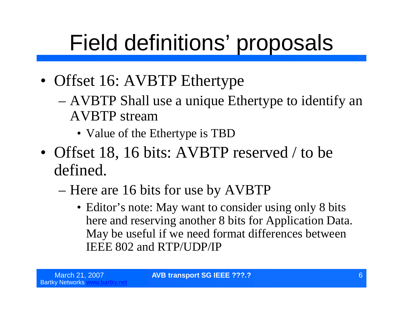- Offset 16: AVBTP Ethertype
	- –AVBTP Shall use a unique Ethertype to identify an AVBTP stream
		- Value of the Ethertype is TBD
- Offset 18, 16 bits: AVBTP reserved / to be defined.
	- –Here are 16 bits for use by AVBTP
		- Editor's note: May want to consider using only 8 bits here and reserving another 8 bits for Application Data. May be useful if we need format differences between IEEE 802 and RTP/UDP/IP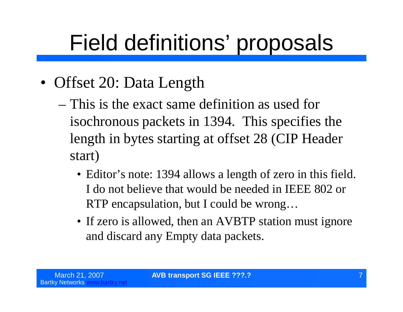- Offset 20: Data Length
	- –This is the exact same definition as used for isochronous packets in 1394. This specifies the length in bytes starting at offset 28 (CIP Header start)
		- Editor's note: 1394 allows a length of zero in this field. I do not believe that would be needed in IEEE 802 or RTP encapsulation, but I could be wrong…
		- If zero is allowed, then an AVBTP station must ignore and discard any Empty data packets.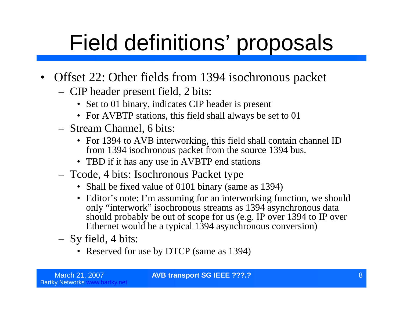- Offset 22: Other fields from 1394 isochronous packet
	- CIP header present field, 2 bits:
		- Set to 01 binary, indicates CIP header is present
		- For AVBTP stations, this field shall always be set to 01
	- Stream Channel, 6 bits:
		- For 1394 to AVB interworking, this field shall contain channel ID from 1394 isochronous packet from the source 1394 bus.
		- TBD if it has any use in AVBTP end stations
	- Tcode, 4 bits: Isochronous Packet type
		- Shall be fixed value of 0101 binary (same as 1394)
		- Editor's note: I'm assuming for an interworking function, we should only "interwork"isochronous streams as 1394 asynchronous data should probably be out of scope for us (e.g. IP over 1394 to IP over Ethernet would be a typical 1394 asynchronous conversion)
	- Sy field, 4 bits:
		- Reserved for use by DTCP (same as 1394)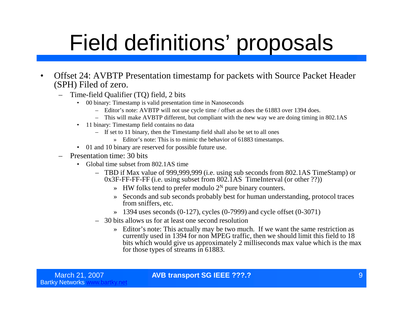- Offset 24: AVBTP Presentation timestamp for packets with Source Packet Header (SPH) Filed of zero.
	- Time-field Qualifier (TQ) field, 2 bits
		- 00 binary: Timestamp is valid presentation time in Nanoseconds
			- Editor's note: AVBTP will not use cycle time / offset as does the 61883 over 1394 does.
			- This will make AVBTP different, but compliant with the new way we are doing timing in 802.1AS
		- 11 binary: Timestamp field contains no data
			- If set to 11 binary, then the Timestamp field shall also be set to all ones
				- » Editor's note: This is to mimic the behavior of 61883 timestamps.
		- 01 and 10 binary are reserved for possible future use.
	- Presentation time: 30 bits
		- Global time subset from 802.1AS time
			- TBD if Max value of 999,999,999 (i.e. using sub seconds from 802.1AS TimeStamp) or 0x3F-FF-FF-FF (i.e. using subset from 802.1AS TimeInterval (or other ??))
				- $\gg$  HW folks tend to prefer modulo 2<sup>N</sup> pure binary counters.
				- » Seconds and sub seconds probably best for human understanding, protocol traces from sniffers, etc.
				- $\rightarrow$  1394 uses seconds (0-127), cycles (0-7999) and cycle offset (0-3071)
			- 30 bits allows us for at least one second resolution
				- » Editor's note: This actually may be two much. If we want the same restriction as currently used in 1394 for non MPEG traffic, then we should limit this field to 18 bits which would give us approximately 2 milliseconds max value which is the max for those types of streams in 61883.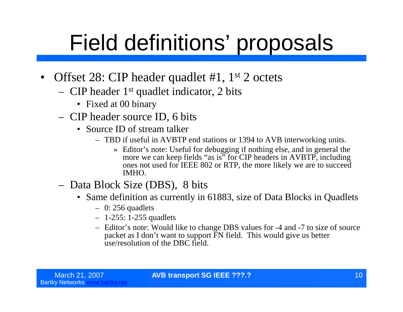- Offset 28: CIP header quadlet #1, 1<sup>st</sup> 2 octets
	- CIP header 1st quadlet indicator, 2 bits
		- Fixed at 00 binary
	- CIP header source ID, 6 bits
		- Source ID of stream talker
			- TBD if useful in AVBTP end stations or 1394 to AVB interworking units.
				- » Editor's note: Useful for debugging if nothing else, and in general the more we can keep fields "as is" for CIP headers in AVBTP, including ones not used for IEEE 802 or RTP, the more likely we are to succeed IMHO.
	- Data Block Size (DBS), 8 bits
		- Same definition as currently in 61883, size of Data Blocks in Quadlets
			- $-$  0: 256 quadlets
			- 1-255: 1-255 quadlets
			- Editor's note: Would like to change DBS values for -4 and -7 to size of source packet as I don't want to support FN field. This would give us better use/resolution of the DBC field.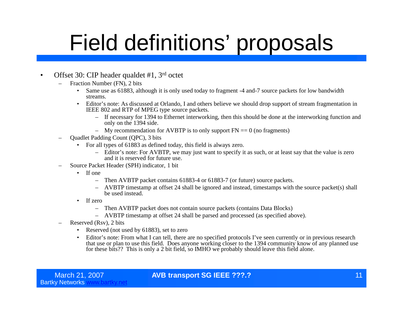#### • Offset 30: CIP header qualdet #1, 3<sup>rd</sup> octet

- Fraction Number (FN), 2 bits
	- Same use as 61883, although it is only used today to fragment -4 and-7 source packets for low bandwidth streams.
	- Editor's note: As discussed at Orlando, I and others believe we should drop support of stream fragmentation in IEEE 802 and RTP of MPEG type source packets.
		- If necessary for 1394 to Ethernet interworking, then this should be done at the interworking function and only on the 1394 side.
		- My recommendation for AVBTP is to only support  $FN = 0$  (no fragments)
- Quadlet Padding Count (QPC), 3 bits
	- For all types of 61883 as defined today, this field is always zero.
		- Editor's note: For AVBTP, we may just want to specify it as such, or at least say that the value is zero and it is reserved for future use.
- Source Packet Header (SPH) indicator, 1 bit
	- If one
		- Then AVBTP packet contains 61883-4 or 61883-7 (or future) source packets.
		- AVBTP timestamp at offset 24 shall be ignored and instead, timestamps with the source packet(s) shall be used instead.
	- If zero
		- Then AVBTP packet does not contain source packets (contains Data Blocks)
		- AVBTP timestamp at offset 24 shall be parsed and processed (as specified above).
- Reserved (Rsv), 2 bits
	- Reserved (not used by 61883), set to zero
	- Editor's note: From what I can tell, there are no specified protocols I've seen currently or in previous research that use or plan to use this field. Does anyone working closer to the 1394 community know of any planned use for these bits?? This is only a 2 bit field, so IMHO we probably should leave this field alone.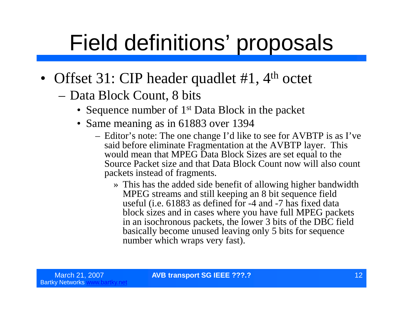- Offset 31: CIP header quadlet #1, 4<sup>th</sup> octet
	- –Data Block Count, 8 bits
		- Sequence number of 1<sup>st</sup> Data Block in the packet
		- Same meaning as in 61883 over 1394
			- Editor's note: The one change I'd like to see for AVBTP is as I've said before eliminate Fragmentation at the AVBTP layer. This would mean that MPEG Data Block Sizes are set equal to the Source Packet size and that Data Block Count now will also count packets instead of fragments.
				- » This has the added side benefit of allowing higher bandwidth MPEG streams and still keeping an 8 bit sequence field useful (i.e. 61883 as defined for -4 and -7 has fixed data block sizes and in cases where you have full MPEG packets in an isochronous packets, the lower 3 bits of the DBC field basically become unused leaving only 5 bits for sequence number which wraps very fast).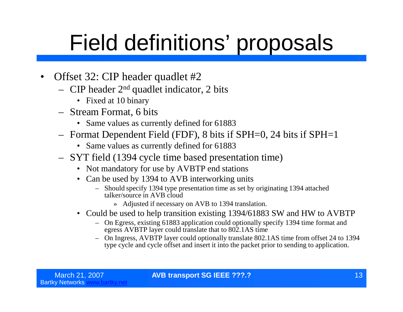- Offset 32: CIP header quadlet #2
	- CIP header  $2<sup>nd</sup>$  quadlet indicator, 2 bits
		- Fixed at 10 binary
	- Stream Format, 6 bits
		- Same values as currently defined for 61883
	- Format Dependent Field (FDF), 8 bits if SPH=0, 24 bits if SPH=1
		- Same values as currently defined for 61883
	- SYT field (1394 cycle time based presentation time)
		- Not mandatory for use by AVBTP end stations
		- Can be used by 1394 to AVB interworking units
			- Should specify 1394 type presentation time as set by originating 1394 attached talker/source in AVB cloud
				- » Adjusted if necessary on AVB to 1394 translation.
		- Could be used to help transition existing 1394/61883 SW and HW to AVBTP
			- On Egress, existing 61883 application could optionally specify 1394 time format and egress AVBTP layer could translate that to 802.1AS time
			- On Ingress, AVBTP layer could optionally translate 802.1AS time from offset 24 to 1394 type cycle and cycle offset and insert it into the packet prior to sending to application.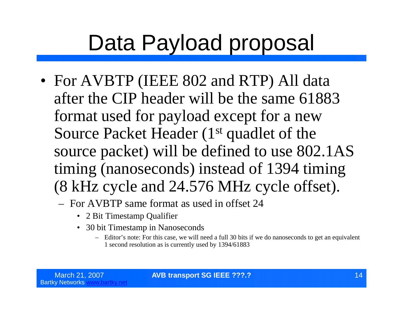#### Data Payload proposal

- For AVBTP (IEEE 802 and RTP) All data after the CIP header will be the same 61883 format used for payload except for a new Source Packet Header (1<sup>st</sup> quadlet of the source packet) will be defined to use 802.1AS timing (nanoseconds) instead of 1394 timing (8 kHz cycle and 24.576 MHz cycle offset).
	- For AVBTP same format as used in offset 24
		- 2 Bit Timestamp Qualifier
		- 30 bit Timestamp in Nanoseconds
			- Editor's note: For this case, we will need a full 30 bits if we do nanoseconds to get an equivalent 1 second resolution as is currently used by 1394/61883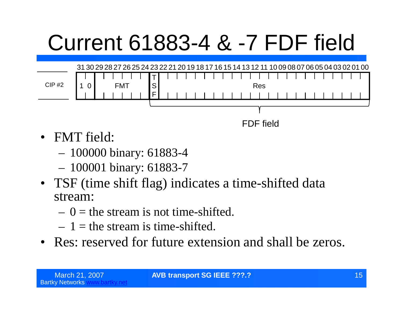# Current 61883-4 & -7 FDF field



FDF field

- FMT field:
	- 100000 binary: 61883-4
	- 100001 binary: 61883-7
- TSF (time shift flag) indicates a time-shifted data stream:
	- $-0$  = the stream is not time-shifted.
	- $-1$  = the stream is time-shifted.
- Res: reserved for future extension and shall be zeros.